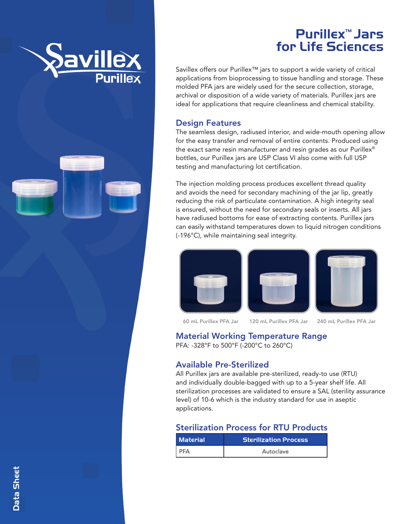

# Purillex™ Jars for Life Sciences

Savillex offers our Purillex<sup>™</sup> jars to support a wide variety of critical applications from bioprocessing to tissue handling and storage. These molded PFA jars are widely used for the secure collection, storage, archival or disposition of a wide variety of materials. Purillex jars are ideal for applications that require cleanliness and chemical stability.

#### Design Features

The seamless design, radiused interior, and wide-mouth opening allow for the easy transfer and removal of entire contents. Produced using the exact same resin manufacturer and resin grades as our Purillex® bottles, our Purillex jars are USP Class VI also come with full USP testing and manufacturing lot certification.

The injection molding process produces excellent thread quality and avoids the need for secondary machining of the jar lip, greatly reducing the risk of particulate contamination. A high integrity seal is ensured, without the need for secondary seals or inserts. All jars have radiused bottoms for ease of extracting contents. Purillex jars can easily withstand temperatures down to liquid nitrogen conditions (-196°C), while maintaining seal integrity.



60 mL Purillex PFA Jar 120 mL Purillex PFA Jar 240 mL Purillex PFA Jar

## Material Working Temperature Range

PFA: -328°F to 500°F (-200°C to 260°C)

#### Available Pre-Sterilized

All Purillex jars are available pre-sterilized, ready-to use (RTU) and individually double-bagged with up to a 5-year shelf life. All sterilization processes are validated to ensure a SAL (sterility assurance level) of 10-6 which is the industry standard for use in aseptic applications.

## Sterilization Process for RTU Products

| <b>Material</b> | <b>Sterilization Process</b> |  |
|-----------------|------------------------------|--|
| I PFA           | Autoclave                    |  |